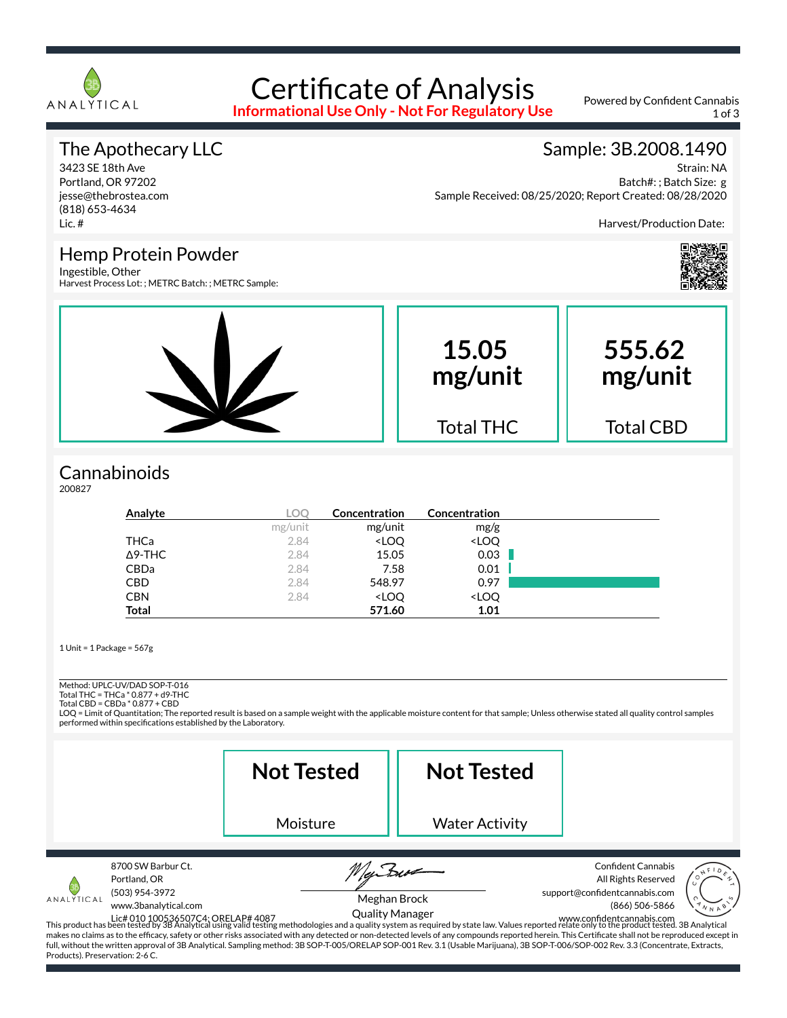

### Certificate of Analysis **Informational Use Only - Not For Regulatory Use**

Powered by Confident Cannabis 1 of 3

### The Apothecary LLC

3423 SE 18th Ave Portland, OR 97202 jesse@thebrostea.com (818) 653-4634 Lic. #

#### Sample: 3B.2008.1490

Strain: NA Batch#: ; Batch Size: g Sample Received: 08/25/2020; Report Created: 08/28/2020

Harvest/Production Date:

#### Hemp Protein Powder Ingestible, Other

Harvest Process Lot: ; METRC Batch: ; METRC Sample:



## **Cannabinoids**

200827

| Analyte        | LOO     | Concentration                                            | Concentration                |  |
|----------------|---------|----------------------------------------------------------|------------------------------|--|
|                | mg/unit | mg/unit                                                  | mg/g                         |  |
| THCa           | 2.84    | <loq< th=""><th><loq< th=""><th></th></loq<></th></loq<> | <loq< th=""><th></th></loq<> |  |
| $\Delta$ 9-THC | 2.84    | 15.05                                                    | 0.03                         |  |
| CBDa           | 2.84    | 7.58                                                     | 0.01                         |  |
| <b>CBD</b>     | 2.84    | 548.97                                                   | 0.97                         |  |
| <b>CBN</b>     | 2.84    | <loq< th=""><th><loq< th=""><th></th></loq<></th></loq<> | <loq< th=""><th></th></loq<> |  |
| <b>Total</b>   |         | 571.60                                                   | 1.01                         |  |

1 Unit = 1 Package = 567g

Method: UPLC-UV/DAD SOP-T-016

Total THC = THCa \* 0.877 + d9-THC Total CBD = CBDa \* 0.877 + CBD

LOQ = Limit of Quantitation; The reported result is based on a sample weight with the applicable moisture content for that sample; Unless otherwise stated all quality control samples performed within specifications established by the Laboratory.

|                                               |                                                                              | <b>Not Tested</b>                                                                                                                                                                    | <b>Not Tested</b>                      |                                                                                                                                                                                                                                                                                                                                                                                                                                                                                                                                                |
|-----------------------------------------------|------------------------------------------------------------------------------|--------------------------------------------------------------------------------------------------------------------------------------------------------------------------------------|----------------------------------------|------------------------------------------------------------------------------------------------------------------------------------------------------------------------------------------------------------------------------------------------------------------------------------------------------------------------------------------------------------------------------------------------------------------------------------------------------------------------------------------------------------------------------------------------|
|                                               |                                                                              | Moisture                                                                                                                                                                             | <b>Water Activity</b>                  |                                                                                                                                                                                                                                                                                                                                                                                                                                                                                                                                                |
| ANALYTICAL<br>Products). Preservation: 2-6 C. | 8700 SW Barbur Ct.<br>Portland, OR<br>(503) 954-3972<br>www.3banalytical.com | full, without the written approval of 3B Analytical. Sampling method: 3B SOP-T-005/ORELAP SOP-001 Rev. 3.1 (Usable Marijuana), 3B SOP-T-006/SOP-002 Rev. 3.3 (Concentrate, Extracts, | Meghan Brock<br><b>Quality Manager</b> | <b>Confident Cannabis</b><br>All Rights Reserved<br>support@confidentcannabis.com<br>(866) 506-5866<br>Lic#010100536507C4: ORELAP#4087 UNITY IVIAITIABET<br>This product has been tested by 3B Analytical using valid testing methodologies and a quality system as required by state law. Values reported relate only to the product te<br>makes no claims as to the efficacy, safety or other risks associated with any detected or non-detected levels of any compounds reported herein. This Certificate shall not be reproduced except in |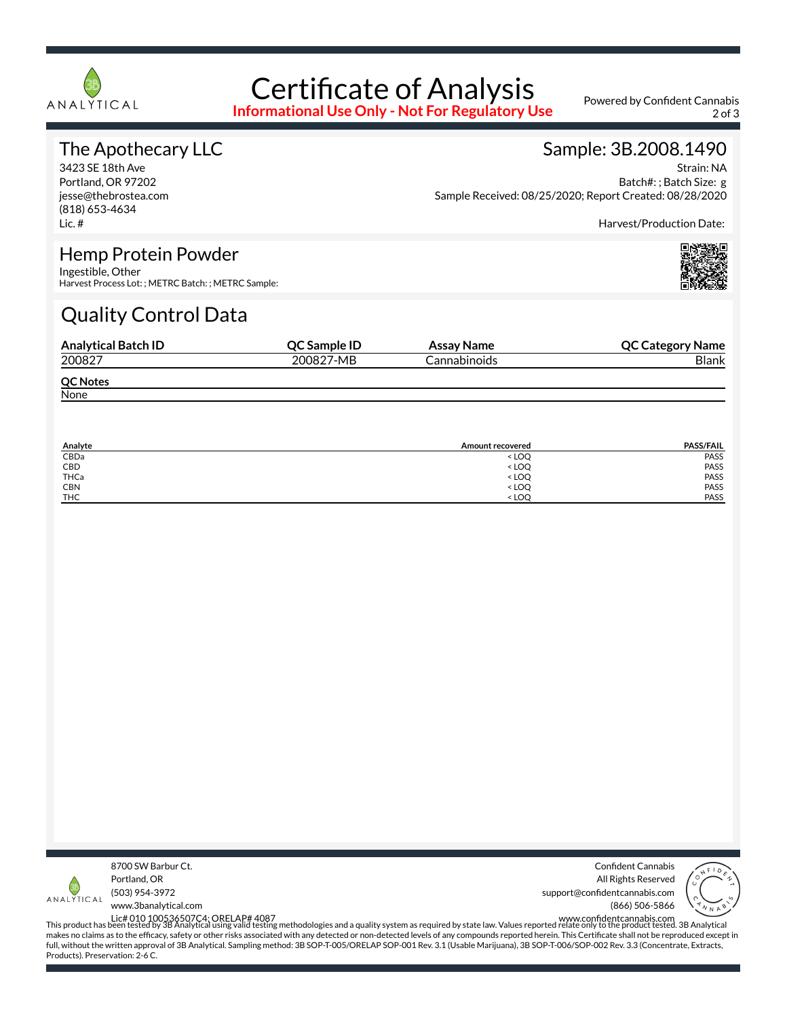

# Certificate of Analysis

**Informational Use Only - Not For Regulatory Use**

Powered by Confident Cannabis 2 of 3

### The Apothecary LLC

3423 SE 18th Ave Portland, OR 97202 jesse@thebrostea.com (818) 653-4634 Lic. #

#### Sample: 3B.2008.1490

Strain: NA Batch#: ; Batch Size: g Sample Received: 08/25/2020; Report Created: 08/28/2020

Harvest/Production Date:

#### Hemp Protein Powder

Ingestible, Other Harvest Process Lot: ; METRC Batch: ; METRC Sample:

# Quality Control Data

| <b>Analytical Batch ID</b> | QC Sample ID | Assay Name   | <b>QC Category Name</b> |
|----------------------------|--------------|--------------|-------------------------|
| 200827                     | 200827-MB    | Cannabinoids | <b>Blank</b>            |
| <b>QC Notes</b>            |              |              |                         |
| None                       |              |              |                         |

| Analyte    | Amount recovered                 | <b>PASS/FAIL</b> |
|------------|----------------------------------|------------------|
| CBDa       | $<$ LOQ                          | PASS             |
| CBD        | <loq< td=""><td>PASS</td></loq<> | PASS             |
| THCa       | <loq< td=""><td>PASS</td></loq<> | PASS             |
| <b>CBN</b> | <loq< td=""><td>PASS</td></loq<> | PASS             |
| <b>THC</b> | <loo< td=""><td>PASS</td></loo<> | PASS             |



Confident Cannabis All Rights Reserved support@confidentcannabis.com (866) 506-5866



www.3banalytical.com

Lic# 010 100536507C4; ORELAP# 4087<br>This product has been tested by 3B Analytical using valid testing methodologies and a quality system as required by state law. Values reported relate only to the product tested. 3B Analyt makes no claims as to the efficacy, safety or other risks associated with any detected or non-detected levels of any compounds reported herein. This Certificate shall not be reproduced except in full, without the written approval of 3B Analytical. Sampling method: 3B SOP-T-005/ORELAP SOP-001 Rev. 3.1 (Usable Marijuana), 3B SOP-T-006/SOP-002 Rev. 3.3 (Concentrate, Extracts, Products). Preservation: 2-6 C.